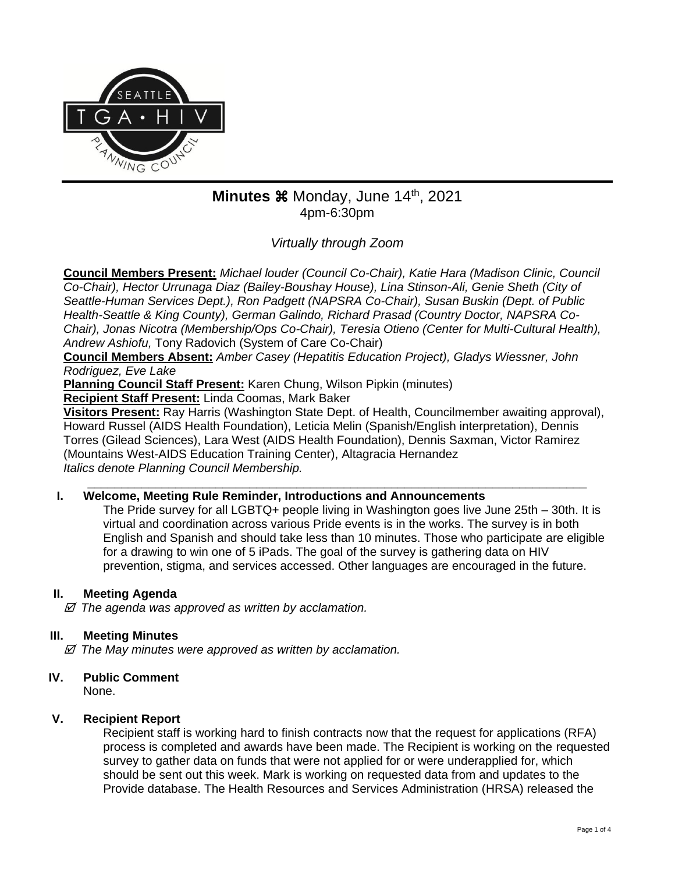

# Minutes  $\frac{1}{2}$  Monday, June 14<sup>th</sup>, 2021 4pm-6:30pm

*Virtually through Zoom*

**Council Members Present:** *Michael louder (Council Co-Chair), Katie Hara (Madison Clinic, Council Co-Chair), Hector Urrunaga Diaz (Bailey-Boushay House), Lina Stinson-Ali, Genie Sheth (City of Seattle-Human Services Dept.), Ron Padgett (NAPSRA Co-Chair), Susan Buskin (Dept. of Public Health-Seattle & King County), German Galindo, Richard Prasad (Country Doctor, NAPSRA Co-Chair), Jonas Nicotra (Membership/Ops Co-Chair), Teresia Otieno (Center for Multi-Cultural Health), Andrew Ashiofu,* Tony Radovich (System of Care Co-Chair)

**Council Members Absent:** *Amber Casey (Hepatitis Education Project), Gladys Wiessner, John Rodriguez, Eve Lake*

**Planning Council Staff Present:** Karen Chung, Wilson Pipkin (minutes)

**Recipient Staff Present:** Linda Coomas, Mark Baker

**Visitors Present:** Ray Harris (Washington State Dept. of Health, Councilmember awaiting approval), Howard Russel (AIDS Health Foundation), Leticia Melin (Spanish/English interpretation), Dennis Torres (Gilead Sciences), Lara West (AIDS Health Foundation), Dennis Saxman, Victor Ramirez (Mountains West-AIDS Education Training Center), Altagracia Hernandez *Italics denote Planning Council Membership.* 

\_\_\_\_\_\_\_\_\_\_\_\_\_\_\_\_\_\_\_\_\_\_\_\_\_\_\_\_\_\_\_\_\_\_\_\_\_\_\_\_\_\_\_\_\_\_\_\_\_\_\_\_\_\_\_\_\_\_\_\_\_\_\_\_\_\_\_\_\_\_\_\_\_\_

# **I. Welcome, Meeting Rule Reminder, Introductions and Announcements**

The Pride survey for all LGBTQ+ people living in Washington goes live June 25th – 30th. It is virtual and coordination across various Pride events is in the works. The survey is in both English and Spanish and should take less than 10 minutes. Those who participate are eligible for a drawing to win one of 5 iPads. The goal of the survey is gathering data on HIV prevention, stigma, and services accessed. Other languages are encouraged in the future.

# **II. Meeting Agenda**

 *The agenda was approved as written by acclamation.*

# **III. Meeting Minutes**

 *The May minutes were approved as written by acclamation.*

# **IV. Public Comment**

None.

# **V. Recipient Report**

Recipient staff is working hard to finish contracts now that the request for applications (RFA) process is completed and awards have been made. The Recipient is working on the requested survey to gather data on funds that were not applied for or were underapplied for, which should be sent out this week. Mark is working on requested data from and updates to the Provide database. The Health Resources and Services Administration (HRSA) released the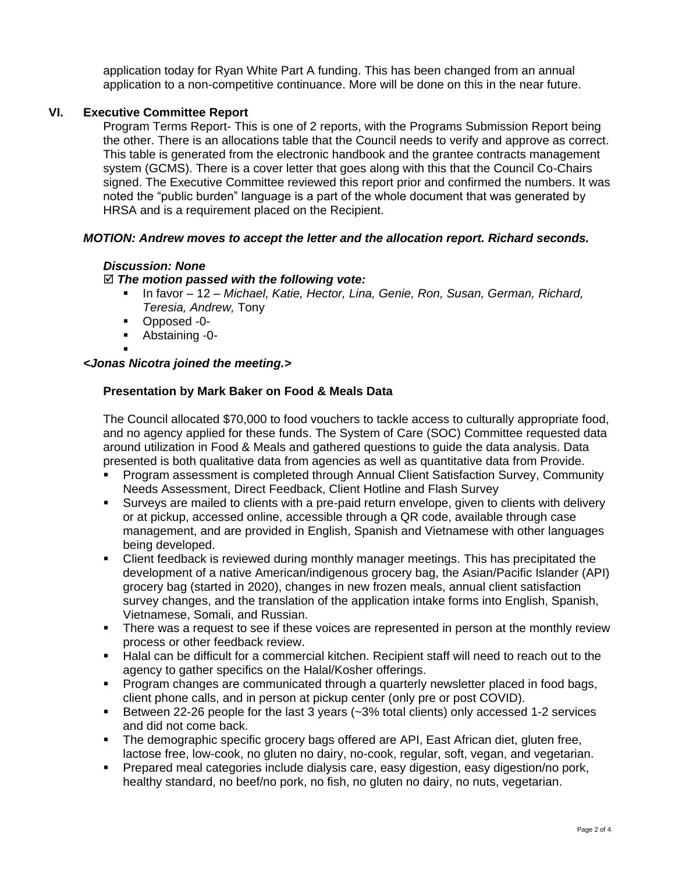application today for Ryan White Part A funding. This has been changed from an annual application to a non-competitive continuance. More will be done on this in the near future.

# **VI. Executive Committee Report**

Program Terms Report- This is one of 2 reports, with the Programs Submission Report being the other. There is an allocations table that the Council needs to verify and approve as correct. This table is generated from the electronic handbook and the grantee contracts management system (GCMS). There is a cover letter that goes along with this that the Council Co-Chairs signed. The Executive Committee reviewed this report prior and confirmed the numbers. It was noted the "public burden" language is a part of the whole document that was generated by HRSA and is a requirement placed on the Recipient.

# *MOTION: Andrew moves to accept the letter and the allocation report. Richard seconds.*

### *Discussion: None*

### *The motion passed with the following vote:*

- In favor 12 *Michael, Katie, Hector, Lina, Genie, Ron, Susan, German, Richard, Teresia, Andrew,* Tony
- Opposed -0-
- Abstaining -0-

#### ▪ *<Jonas Nicotra joined the meeting.>*

# **Presentation by Mark Baker on Food & Meals Data**

The Council allocated \$70,000 to food vouchers to tackle access to culturally appropriate food, and no agency applied for these funds. The System of Care (SOC) Committee requested data around utilization in Food & Meals and gathered questions to guide the data analysis. Data presented is both qualitative data from agencies as well as quantitative data from Provide.

- Program assessment is completed through Annual Client Satisfaction Survey, Community Needs Assessment, Direct Feedback, Client Hotline and Flash Survey
- Surveys are mailed to clients with a pre-paid return envelope, given to clients with delivery or at pickup, accessed online, accessible through a QR code, available through case management, and are provided in English, Spanish and Vietnamese with other languages being developed.
- **EXECT** Client feedback is reviewed during monthly manager meetings. This has precipitated the development of a native American/indigenous grocery bag, the Asian/Pacific Islander (API) grocery bag (started in 2020), changes in new frozen meals, annual client satisfaction survey changes, and the translation of the application intake forms into English, Spanish, Vietnamese, Somali, and Russian.
- **•** There was a request to see if these voices are represented in person at the monthly review process or other feedback review.
- Halal can be difficult for a commercial kitchen. Recipient staff will need to reach out to the agency to gather specifics on the Halal/Kosher offerings.
- **Program changes are communicated through a quarterly newsletter placed in food bags,** client phone calls, and in person at pickup center (only pre or post COVID).
- **EXECT** Between 22-26 people for the last 3 years  $(-3% \text{ total clients})$  only accessed 1-2 services and did not come back.
- The demographic specific grocery bags offered are API, East African diet, gluten free, lactose free, low-cook, no gluten no dairy, no-cook, regular, soft, vegan, and vegetarian.
- Prepared meal categories include dialysis care, easy digestion, easy digestion/no pork, healthy standard, no beef/no pork, no fish, no gluten no dairy, no nuts, vegetarian.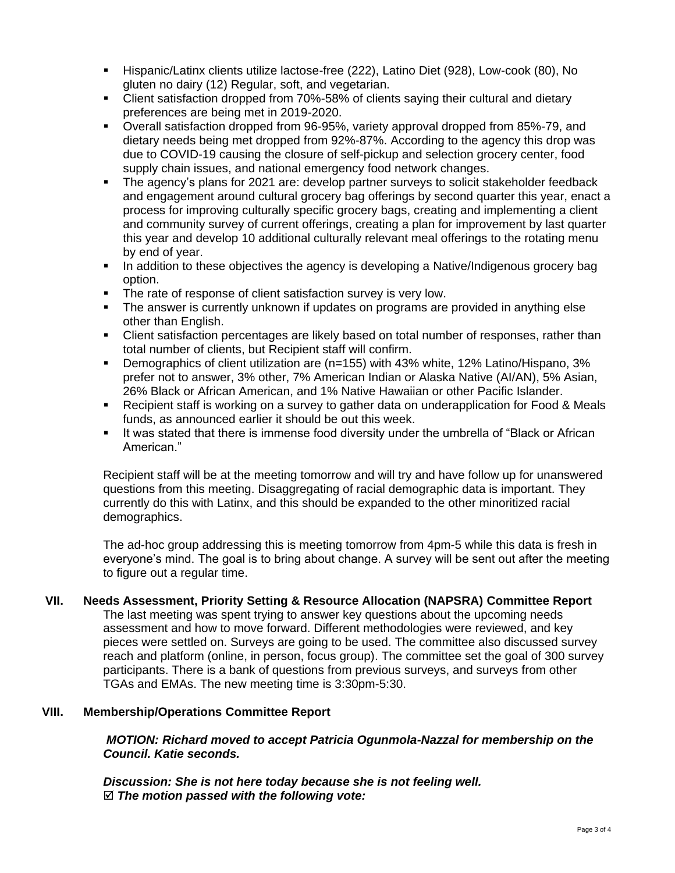- Hispanic/Latinx clients utilize lactose-free (222), Latino Diet (928), Low-cook (80), No gluten no dairy (12) Regular, soft, and vegetarian.
- Client satisfaction dropped from 70%-58% of clients saying their cultural and dietary preferences are being met in 2019-2020.
- Overall satisfaction dropped from 96-95%, variety approval dropped from 85%-79, and dietary needs being met dropped from 92%-87%. According to the agency this drop was due to COVID-19 causing the closure of self-pickup and selection grocery center, food supply chain issues, and national emergency food network changes.
- The agency's plans for 2021 are: develop partner surveys to solicit stakeholder feedback and engagement around cultural grocery bag offerings by second quarter this year, enact a process for improving culturally specific grocery bags, creating and implementing a client and community survey of current offerings, creating a plan for improvement by last quarter this year and develop 10 additional culturally relevant meal offerings to the rotating menu by end of year.
- **In addition to these objectives the agency is developing a Native/Indigenous grocery bag** option.
- The rate of response of client satisfaction survey is very low.
- **•** The answer is currently unknown if updates on programs are provided in anything else other than English.
- **EXECT** Client satisfaction percentages are likely based on total number of responses, rather than total number of clients, but Recipient staff will confirm.
- Demographics of client utilization are (n=155) with 43% white, 12% Latino/Hispano, 3% prefer not to answer, 3% other, 7% American Indian or Alaska Native (AI/AN), 5% Asian, 26% Black or African American, and 1% Native Hawaiian or other Pacific Islander.
- Recipient staff is working on a survey to gather data on underapplication for Food & Meals funds, as announced earlier it should be out this week.
- **.** It was stated that there is immense food diversity under the umbrella of "Black or African American."

Recipient staff will be at the meeting tomorrow and will try and have follow up for unanswered questions from this meeting. Disaggregating of racial demographic data is important. They currently do this with Latinx, and this should be expanded to the other minoritized racial demographics.

The ad-hoc group addressing this is meeting tomorrow from 4pm-5 while this data is fresh in everyone's mind. The goal is to bring about change. A survey will be sent out after the meeting to figure out a regular time.

# **VII. Needs Assessment, Priority Setting & Resource Allocation (NAPSRA) Committee Report**

The last meeting was spent trying to answer key questions about the upcoming needs assessment and how to move forward. Different methodologies were reviewed, and key pieces were settled on. Surveys are going to be used. The committee also discussed survey reach and platform (online, in person, focus group). The committee set the goal of 300 survey participants. There is a bank of questions from previous surveys, and surveys from other TGAs and EMAs. The new meeting time is 3:30pm-5:30.

### **VIII. Membership/Operations Committee Report**

*MOTION: Richard moved to accept Patricia Ogunmola-Nazzal for membership on the Council. Katie seconds.*

*Discussion: She is not here today because she is not feeling well. The motion passed with the following vote:*